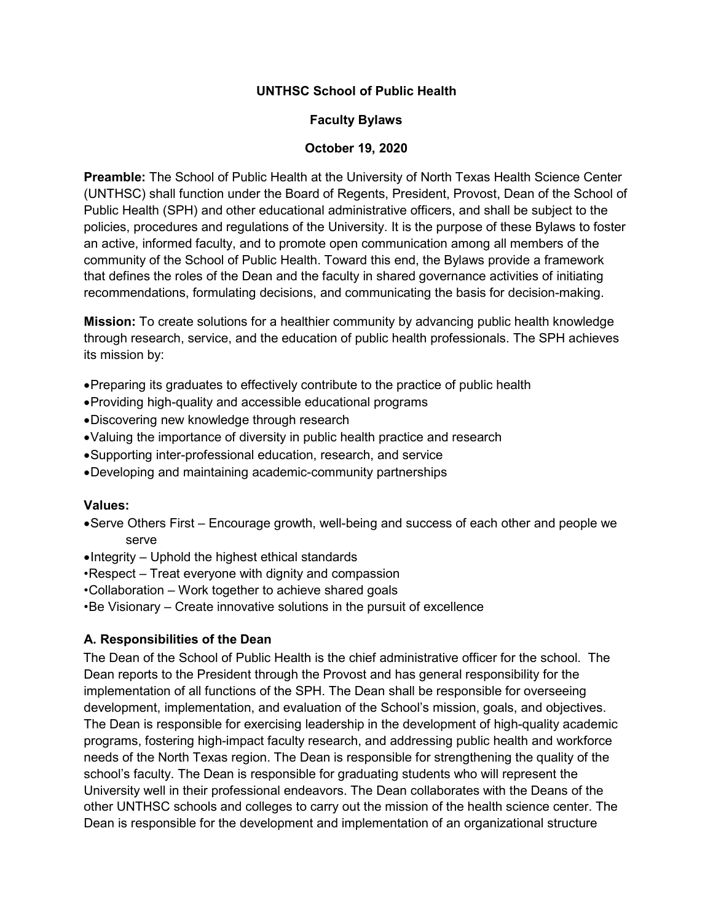### **UNTHSC School of Public Health**

#### **Faculty Bylaws**

#### **October 19, 2020**

**Preamble:** The School of Public Health at the University of North Texas Health Science Center (UNTHSC) shall function under the Board of Regents, President, Provost, Dean of the School of Public Health (SPH) and other educational administrative officers, and shall be subject to the policies, procedures and regulations of the University. It is the purpose of these Bylaws to foster an active, informed faculty, and to promote open communication among all members of the community of the School of Public Health. Toward this end, the Bylaws provide a framework that defines the roles of the Dean and the faculty in shared governance activities of initiating recommendations, formulating decisions, and communicating the basis for decision-making.

**Mission:** To create solutions for a healthier community by advancing public health knowledge through research, service, and the education of public health professionals. The SPH achieves its mission by:

- •Preparing its graduates to effectively contribute to the practice of public health
- •Providing high-quality and accessible educational programs
- •Discovering new knowledge through research
- •Valuing the importance of diversity in public health practice and research
- •Supporting inter-professional education, research, and service
- •Developing and maintaining academic-community partnerships

#### **Values:**

- •Serve Others First Encourage growth, well-being and success of each other and people we serve
- •Integrity Uphold the highest ethical standards
- •Respect Treat everyone with dignity and compassion
- •Collaboration Work together to achieve shared goals
- •Be Visionary Create innovative solutions in the pursuit of excellence

#### **A. Responsibilities of the Dean**

The Dean of the School of Public Health is the chief administrative officer for the school. The Dean reports to the President through the Provost and has general responsibility for the implementation of all functions of the SPH. The Dean shall be responsible for overseeing development, implementation, and evaluation of the School's mission, goals, and objectives. The Dean is responsible for exercising leadership in the development of high-quality academic programs, fostering high-impact faculty research, and addressing public health and workforce needs of the North Texas region. The Dean is responsible for strengthening the quality of the school's faculty. The Dean is responsible for graduating students who will represent the University well in their professional endeavors. The Dean collaborates with the Deans of the other UNTHSC schools and colleges to carry out the mission of the health science center. The Dean is responsible for the development and implementation of an organizational structure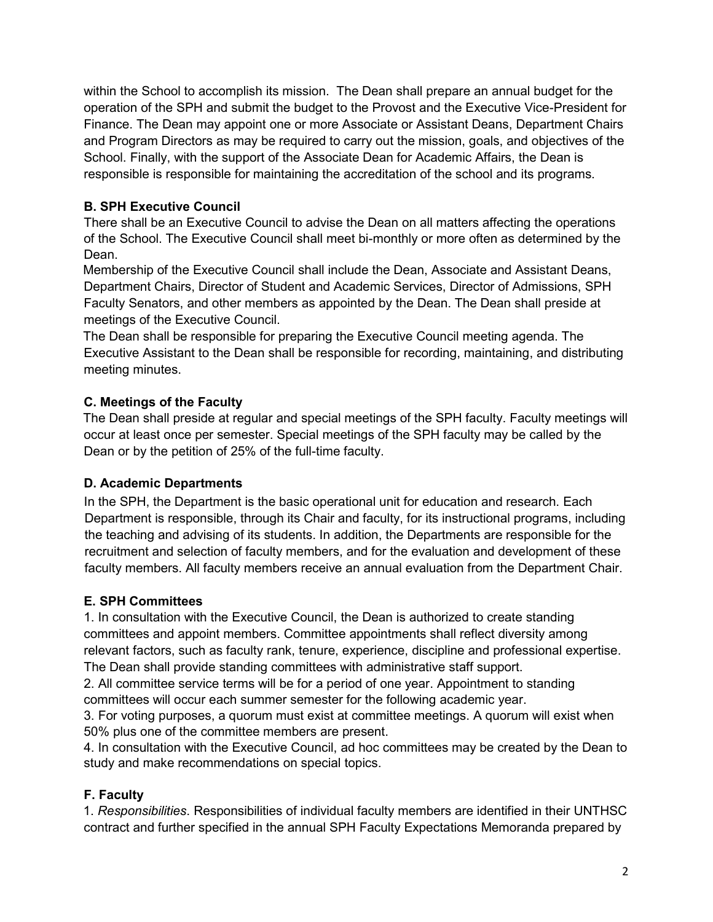within the School to accomplish its mission. The Dean shall prepare an annual budget for the operation of the SPH and submit the budget to the Provost and the Executive Vice-President for Finance. The Dean may appoint one or more Associate or Assistant Deans, Department Chairs and Program Directors as may be required to carry out the mission, goals, and objectives of the School. Finally, with the support of the Associate Dean for Academic Affairs, the Dean is responsible is responsible for maintaining the accreditation of the school and its programs.

# **B. SPH Executive Council**

There shall be an Executive Council to advise the Dean on all matters affecting the operations of the School. The Executive Council shall meet bi-monthly or more often as determined by the Dean.

Membership of the Executive Council shall include the Dean, Associate and Assistant Deans, Department Chairs, Director of Student and Academic Services, Director of Admissions, SPH Faculty Senators, and other members as appointed by the Dean. The Dean shall preside at meetings of the Executive Council.

The Dean shall be responsible for preparing the Executive Council meeting agenda. The Executive Assistant to the Dean shall be responsible for recording, maintaining, and distributing meeting minutes.

# **C. Meetings of the Faculty**

The Dean shall preside at regular and special meetings of the SPH faculty. Faculty meetings will occur at least once per semester. Special meetings of the SPH faculty may be called by the Dean or by the petition of 25% of the full-time faculty.

## **D. Academic Departments**

In the SPH, the Department is the basic operational unit for education and research. Each Department is responsible, through its Chair and faculty, for its instructional programs, including the teaching and advising of its students. In addition, the Departments are responsible for the recruitment and selection of faculty members, and for the evaluation and development of these faculty members. All faculty members receive an annual evaluation from the Department Chair.

## **E. SPH Committees**

1. In consultation with the Executive Council, the Dean is authorized to create standing committees and appoint members. Committee appointments shall reflect diversity among relevant factors, such as faculty rank, tenure, experience, discipline and professional expertise. The Dean shall provide standing committees with administrative staff support.

2. All committee service terms will be for a period of one year. Appointment to standing committees will occur each summer semester for the following academic year.

3. For voting purposes, a quorum must exist at committee meetings. A quorum will exist when 50% plus one of the committee members are present.

4. In consultation with the Executive Council, ad hoc committees may be created by the Dean to study and make recommendations on special topics.

# **F. Faculty**

1. *Responsibilities*. Responsibilities of individual faculty members are identified in their UNTHSC contract and further specified in the annual SPH Faculty Expectations Memoranda prepared by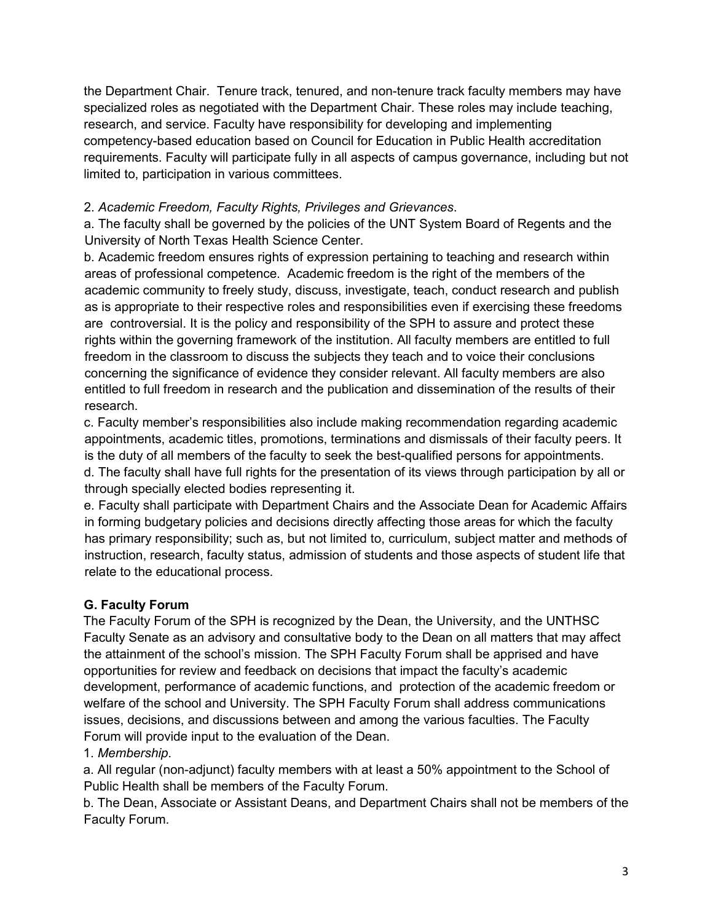the Department Chair. Tenure track, tenured, and non-tenure track faculty members may have specialized roles as negotiated with the Department Chair. These roles may include teaching, research, and service. Faculty have responsibility for developing and implementing competency-based education based on Council for Education in Public Health accreditation requirements. Faculty will participate fully in all aspects of campus governance, including but not limited to, participation in various committees.

# 2. *Academic Freedom, Faculty Rights, Privileges and Grievances*.

a. The faculty shall be governed by the policies of the UNT System Board of Regents and the University of North Texas Health Science Center.

b. Academic freedom ensures rights of expression pertaining to teaching and research within areas of professional competence. Academic freedom is the right of the members of the academic community to freely study, discuss, investigate, teach, conduct research and publish as is appropriate to their respective roles and responsibilities even if exercising these freedoms are controversial. It is the policy and responsibility of the SPH to assure and protect these rights within the governing framework of the institution. All faculty members are entitled to full freedom in the classroom to discuss the subjects they teach and to voice their conclusions concerning the significance of evidence they consider relevant. All faculty members are also entitled to full freedom in research and the publication and dissemination of the results of their research.

c. Faculty member's responsibilities also include making recommendation regarding academic appointments, academic titles, promotions, terminations and dismissals of their faculty peers. It is the duty of all members of the faculty to seek the best-qualified persons for appointments. d. The faculty shall have full rights for the presentation of its views through participation by all or through specially elected bodies representing it.

e. Faculty shall participate with Department Chairs and the Associate Dean for Academic Affairs in forming budgetary policies and decisions directly affecting those areas for which the faculty has primary responsibility; such as, but not limited to, curriculum, subject matter and methods of instruction, research, faculty status, admission of students and those aspects of student life that relate to the educational process.

# **G. Faculty Forum**

The Faculty Forum of the SPH is recognized by the Dean, the University, and the UNTHSC Faculty Senate as an advisory and consultative body to the Dean on all matters that may affect the attainment of the school's mission. The SPH Faculty Forum shall be apprised and have opportunities for review and feedback on decisions that impact the faculty's academic development, performance of academic functions, and protection of the academic freedom or welfare of the school and University. The SPH Faculty Forum shall address communications issues, decisions, and discussions between and among the various faculties. The Faculty Forum will provide input to the evaluation of the Dean.

## 1. *Membership*.

a. All regular (non-adjunct) faculty members with at least a 50% appointment to the School of Public Health shall be members of the Faculty Forum.

b. The Dean, Associate or Assistant Deans, and Department Chairs shall not be members of the Faculty Forum.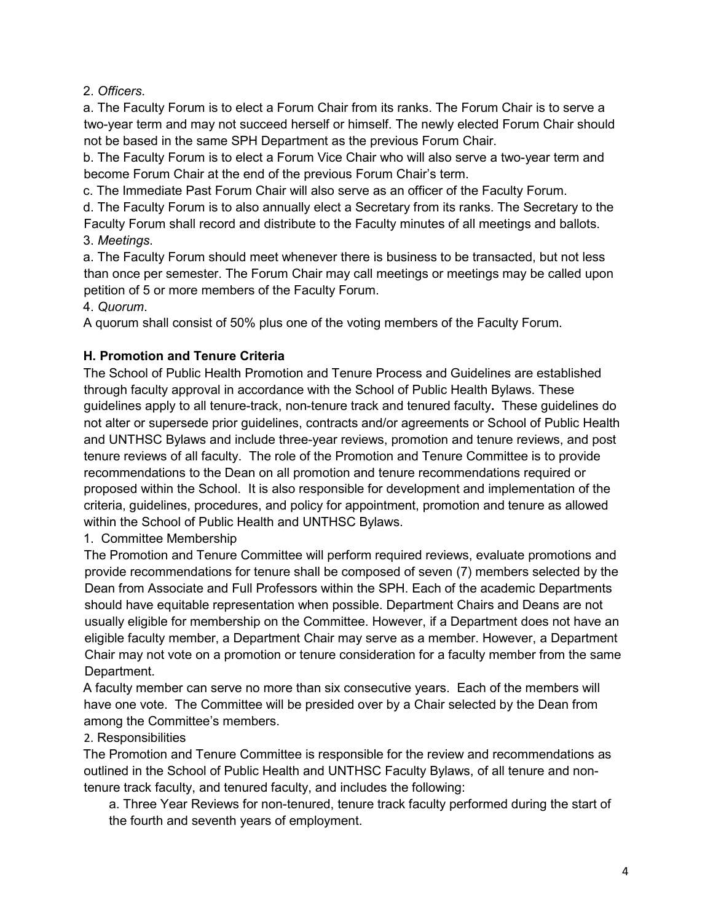## 2. *Officers*.

a. The Faculty Forum is to elect a Forum Chair from its ranks. The Forum Chair is to serve a two-year term and may not succeed herself or himself. The newly elected Forum Chair should not be based in the same SPH Department as the previous Forum Chair.

b. The Faculty Forum is to elect a Forum Vice Chair who will also serve a two-year term and become Forum Chair at the end of the previous Forum Chair's term.

c. The Immediate Past Forum Chair will also serve as an officer of the Faculty Forum.

d. The Faculty Forum is to also annually elect a Secretary from its ranks. The Secretary to the Faculty Forum shall record and distribute to the Faculty minutes of all meetings and ballots. 3. *Meetings*.

a. The Faculty Forum should meet whenever there is business to be transacted, but not less than once per semester. The Forum Chair may call meetings or meetings may be called upon petition of 5 or more members of the Faculty Forum.

4. *Quorum*.

A quorum shall consist of 50% plus one of the voting members of the Faculty Forum.

## **H. Promotion and Tenure Criteria**

The School of Public Health Promotion and Tenure Process and Guidelines are established through faculty approval in accordance with the School of Public Health Bylaws. These guidelines apply to all tenure-track, non-tenure track and tenured faculty**.** These guidelines do not alter or supersede prior guidelines, contracts and/or agreements or School of Public Health and UNTHSC Bylaws and include three-year reviews, promotion and tenure reviews, and post tenure reviews of all faculty. The role of the Promotion and Tenure Committee is to provide recommendations to the Dean on all promotion and tenure recommendations required or proposed within the School. It is also responsible for development and implementation of the criteria, guidelines, procedures, and policy for appointment, promotion and tenure as allowed within the School of Public Health and UNTHSC Bylaws.

## 1. Committee Membership

The Promotion and Tenure Committee will perform required reviews, evaluate promotions and provide recommendations for tenure shall be composed of seven (7) members selected by the Dean from Associate and Full Professors within the SPH. Each of the academic Departments should have equitable representation when possible. Department Chairs and Deans are not usually eligible for membership on the Committee. However, if a Department does not have an eligible faculty member, a Department Chair may serve as a member. However, a Department Chair may not vote on a promotion or tenure consideration for a faculty member from the same Department.

A faculty member can serve no more than six consecutive years. Each of the members will have one vote. The Committee will be presided over by a Chair selected by the Dean from among the Committee's members.

## 2. Responsibilities

The Promotion and Tenure Committee is responsible for the review and recommendations as outlined in the School of Public Health and UNTHSC Faculty Bylaws, of all tenure and nontenure track faculty, and tenured faculty, and includes the following:

a. Three Year Reviews for non-tenured, tenure track faculty performed during the start of the fourth and seventh years of employment.